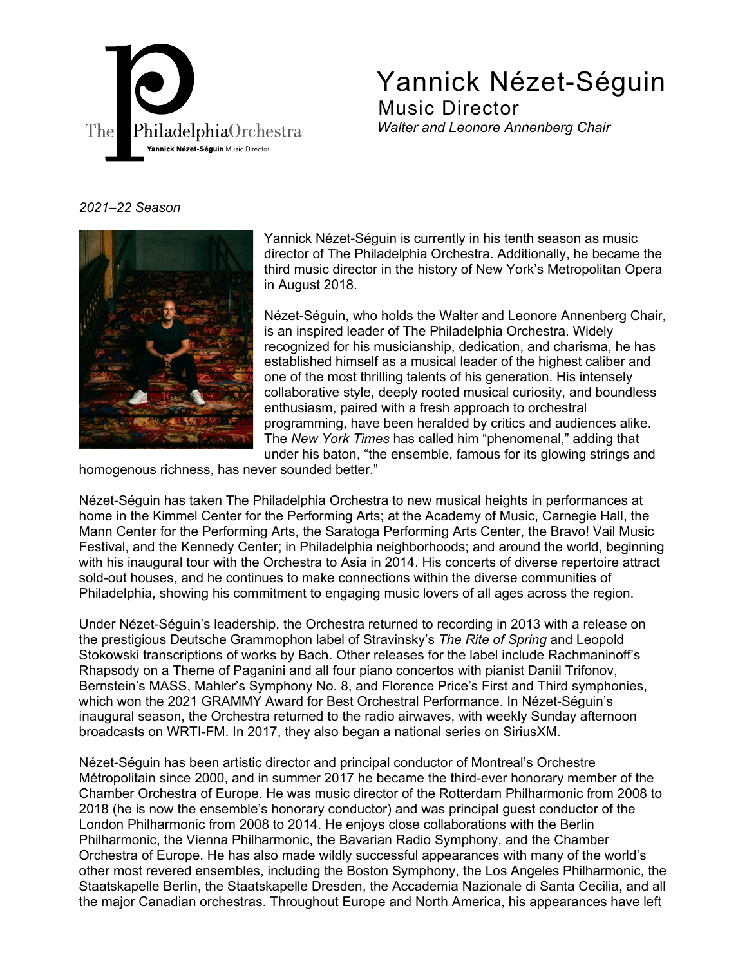

Yannick Nézet-Séguin Music Director *Walter and Leonore Annenberg Chair* 

## *2021–22 Season*



Yannick Nézet-Séguin is currently in his tenth season as music director of The Philadelphia Orchestra. Additionally, he became the third music director in the history of New York's Metropolitan Opera in August 2018.

Nézet-Séguin, who holds the Walter and Leonore Annenberg Chair, is an inspired leader of The Philadelphia Orchestra. Widely recognized for his musicianship, dedication, and charisma, he has established himself as a musical leader of the highest caliber and one of the most thrilling talents of his generation. His intensely collaborative style, deeply rooted musical curiosity, and boundless enthusiasm, paired with a fresh approach to orchestral programming, have been heralded by critics and audiences alike. The *New York Times* has called him "phenomenal," adding that under his baton, "the ensemble, famous for its glowing strings and

homogenous richness, has never sounded better."

Nézet-Séguin has taken The Philadelphia Orchestra to new musical heights in performances at home in the Kimmel Center for the Performing Arts; at the Academy of Music, Carnegie Hall, the Mann Center for the Performing Arts, the Saratoga Performing Arts Center, the Bravo! Vail Music Festival, and the Kennedy Center; in Philadelphia neighborhoods; and around the world, beginning with his inaugural tour with the Orchestra to Asia in 2014. His concerts of diverse repertoire attract sold-out houses, and he continues to make connections within the diverse communities of Philadelphia, showing his commitment to engaging music lovers of all ages across the region.

Under Nézet-Séguin's leadership, the Orchestra returned to recording in 2013 with a release on the prestigious Deutsche Grammophon label of Stravinsky's *The Rite of Spring* and Leopold Stokowski transcriptions of works by Bach. Other releases for the label include Rachmaninoff's Rhapsody on a Theme of Paganini and all four piano concertos with pianist Daniil Trifonov, Bernstein's MASS, Mahler's Symphony No. 8, and Florence Price's First and Third symphonies, which won the 2021 GRAMMY Award for Best Orchestral Performance. In Nézet-Séguin's inaugural season, the Orchestra returned to the radio airwaves, with weekly Sunday afternoon broadcasts on WRTI-FM. In 2017, they also began a national series on SiriusXM.

Nézet-Séguin has been artistic director and principal conductor of Montreal's Orchestre Métropolitain since 2000, and in summer 2017 he became the third-ever honorary member of the Chamber Orchestra of Europe. He was music director of the Rotterdam Philharmonic from 2008 to 2018 (he is now the ensemble's honorary conductor) and was principal guest conductor of the London Philharmonic from 2008 to 2014. He enjoys close collaborations with the Berlin Philharmonic, the Vienna Philharmonic, the Bavarian Radio Symphony, and the Chamber Orchestra of Europe. He has also made wildly successful appearances with many of the world's other most revered ensembles, including the Boston Symphony, the Los Angeles Philharmonic, the Staatskapelle Berlin, the Staatskapelle Dresden, the Accademia Nazionale di Santa Cecilia, and all the major Canadian orchestras. Throughout Europe and North America, his appearances have left